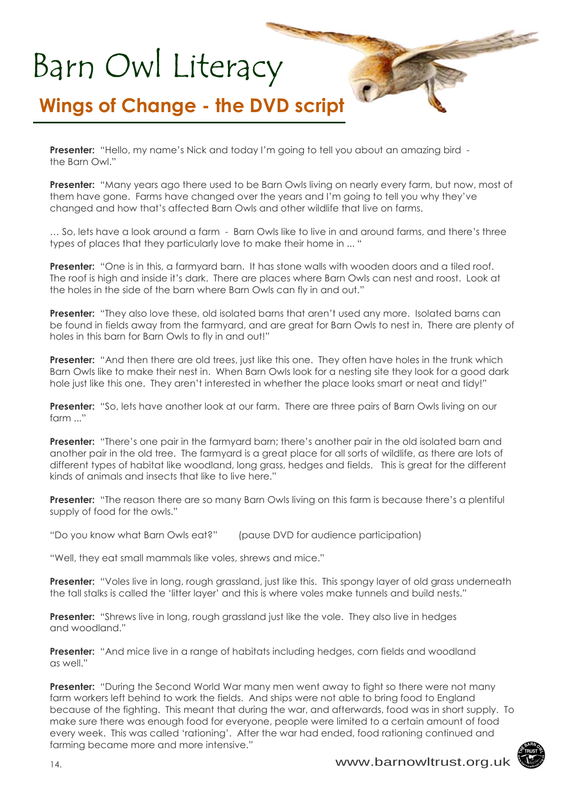#### **Wings of Change - the DVD script**

**Presenter:** "Hello, my name's Nick and today I'm going to tell you about an amazing bird the Barn Owl."

**Presenter:** "Many years ago there used to be Barn Owls living on nearly every farm, but now, most of them have gone. Farms have changed over the years and I'm going to tell you why they've changed and how that's affected Barn Owls and other wildlife that live on farms.

 $\bullet$ 

… So, lets have a look around a farm - Barn Owls like to live in and around farms, and there's three types of places that they particularly love to make their home in ... "

**Presenter:** "One is in this, a farmyard barn. It has stone walls with wooden doors and a tiled roof. The roof is high and inside it's dark. There are places where Barn Owls can nest and roost. Look at the holes in the side of the barn where Barn Owls can fly in and out."

**Presenter:** "They also love these, old isolated barns that aren't used any more. Isolated barns can be found in fields away from the farmyard, and are great for Barn Owls to nest in. There are plenty of holes in this barn for Barn Owls to fly in and out!"

**Presenter:** "And then there are old trees, just like this one. They often have holes in the trunk which Barn Owls like to make their nest in. When Barn Owls look for a nesting site they look for a good dark hole just like this one. They aren't interested in whether the place looks smart or neat and tidy!"

**Presenter:** "So, lets have another look at our farm. There are three pairs of Barn Owls living on our  $form$   $"$ 

Presenter: "There's one pair in the farmyard barn; there's another pair in the old isolated barn and another pair in the old tree. The farmyard is a great place for all sorts of wildlife, as there are lots of different types of habitat like woodland, long grass, hedges and fields. This is great for the different kinds of animals and insects that like to live here."

**Presenter:** "The reason there are so many Barn Owls living on this farm is because there's a plentiful supply of food for the owls."

"Do you know what Barn Owls eat?" (pause DVD for audience participation)

"Well, they eat small mammals like voles, shrews and mice."

**Presenter:** "Voles live in long, rough grassland, just like this. This spongy layer of old grass underneath the tall stalks is called the 'litter layer' and this is where voles make tunnels and build nests."

**Presenter:** "Shrews live in long, rough grassland just like the vole. They also live in hedges and woodland."

**Presenter:** "And mice live in a range of habitats including hedges, corn fields and woodland as well."

**Presenter:** "During the Second World War many men went away to fight so there were not many farm workers left behind to work the fields. And ships were not able to bring food to England because of the fighting. This meant that during the war, and afterwards, food was in short supply. To make sure there was enough food for everyone, people were limited to a certain amount of food every week. This was called 'rationing'. After the war had ended, food rationing continued and farming became more and more intensive."

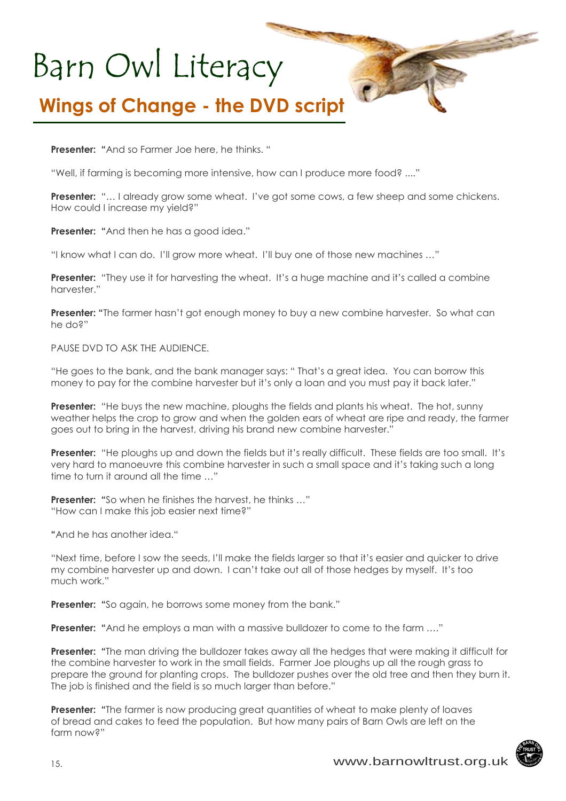#### **Wings of Change - the DVD script**

**Presenter: "**And so Farmer Joe here, he thinks. "

"Well, if farming is becoming more intensive, how can I produce more food? ...."

**Presenter:** "... I already grow some wheat. I've got some cows, a few sheep and some chickens. How could I increase my yield?"

**Presenter: "**And then he has a good idea."

"I know what I can do. I'll grow more wheat. I'll buy one of those new machines …"

**Presenter:** "They use it for harvesting the wheat. It's a huge machine and it's called a combine harvester."

**Presenter: "**The farmer hasn't got enough money to buy a new combine harvester. So what can he do?"

PAUSE DVD TO ASK THE AUDIENCE.

"He goes to the bank, and the bank manager says: " That's a great idea. You can borrow this money to pay for the combine harvester but it's only a loan and you must pay it back later."

**Presenter:** "He buys the new machine, ploughs the fields and plants his wheat. The hot, sunny weather helps the crop to grow and when the golden ears of wheat are ripe and ready, the farmer goes out to bring in the harvest, driving his brand new combine harvester."

**Presenter:** "He ploughs up and down the fields but it's really difficult. These fields are too small. It's very hard to manoeuvre this combine harvester in such a small space and it's taking such a long time to turn it around all the time …"

**Presenter:** "So when he finishes the harvest, he thinks ..." "How can I make this job easier next time?"

**"**And he has another idea."

"Next time, before I sow the seeds, I'll make the fields larger so that it's easier and quicker to drive my combine harvester up and down. I can't take out all of those hedges by myself. It's too much work."

**Presenter:** "So again, he borrows some money from the bank."

**Presenter:** "And he employs a man with a massive bulldozer to come to the farm ...."

**Presenter: "**The man driving the bulldozer takes away all the hedges that were making it difficult for the combine harvester to work in the small fields. Farmer Joe ploughs up all the rough grass to prepare the ground for planting crops. The bulldozer pushes over the old tree and then they burn it. The job is finished and the field is so much larger than before."

**Presenter:** "The farmer is now producing great quantities of wheat to make plenty of loaves of bread and cakes to feed the population. But how many pairs of Barn Owls are left on the farm now?"

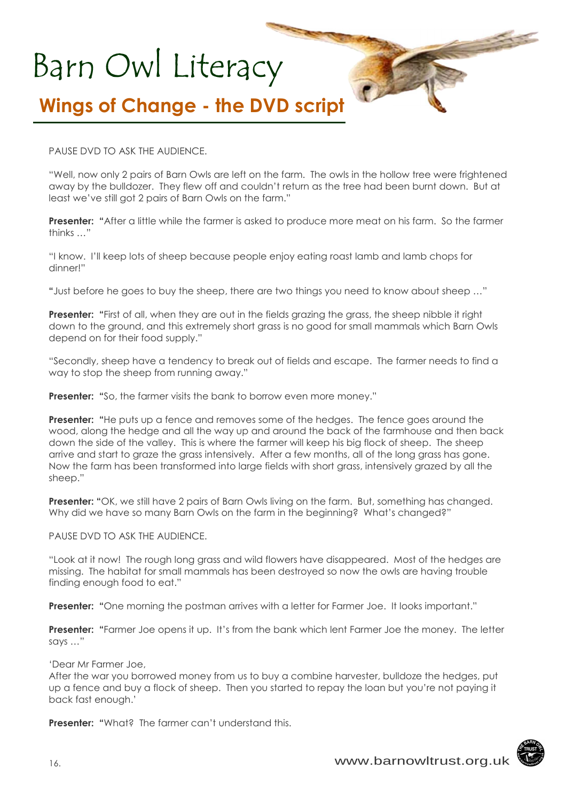### **Wings of Change - the DVD script**

PAUSE DVD TO ASK THE AUDIENCE.

"Well, now only 2 pairs of Barn Owls are left on the farm. The owls in the hollow tree were frightened away by the bulldozer. They flew off and couldn't return as the tree had been burnt down. But at least we've still got 2 pairs of Barn Owls on the farm."

 $\bullet$ 

**Presenter:** "After a little while the farmer is asked to produce more meat on his farm. So the farmer thinks …"

"I know. I'll keep lots of sheep because people enjoy eating roast lamb and lamb chops for dinner!"

**"**Just before he goes to buy the sheep, there are two things you need to know about sheep …"

**Presenter:** "First of all, when they are out in the fields grazing the grass, the sheep nibble it right down to the ground, and this extremely short grass is no good for small mammals which Barn Owls depend on for their food supply."

"Secondly, sheep have a tendency to break out of fields and escape. The farmer needs to find a way to stop the sheep from running away."

**Presenter:** "So, the farmer visits the bank to borrow even more money."

**Presenter:** "He puts up a fence and removes some of the hedges. The fence goes around the wood, along the hedge and all the way up and around the back of the farmhouse and then back down the side of the valley. This is where the farmer will keep his big flock of sheep. The sheep arrive and start to graze the grass intensively. After a few months, all of the long grass has gone. Now the farm has been transformed into large fields with short grass, intensively grazed by all the sheep."

**Presenter:** "OK, we still have 2 pairs of Barn Owls living on the farm. But, something has changed. Why did we have so many Barn Owls on the farm in the beginning? What's changed?"

PAUSE DVD TO ASK THE AUDIENCE.

"Look at it now! The rough long grass and wild flowers have disappeared. Most of the hedges are missing. The habitat for small mammals has been destroyed so now the owls are having trouble finding enough food to eat."

**Presenter:** "One morning the postman arrives with a letter for Farmer Joe. It looks important."

**Presenter: "**Farmer Joe opens it up. It's from the bank which lent Farmer Joe the money. The letter says …"

'Dear Mr Farmer Joe,

After the war you borrowed money from us to buy a combine harvester, bulldoze the hedges, put up a fence and buy a flock of sheep. Then you started to repay the loan but you're not paying it back fast enough.'

**Presenter:** "What? The farmer can't understand this.

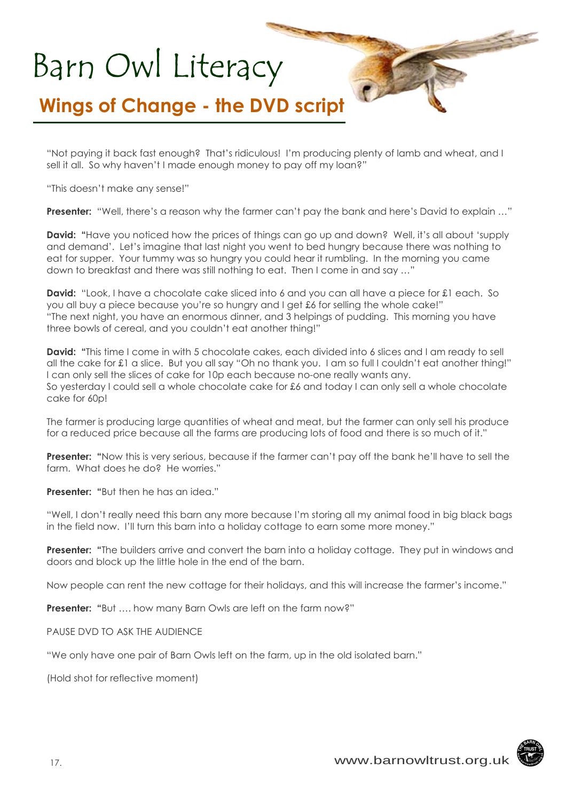#### **Wings of Change - the DVD script**

"Not paying it back fast enough? That's ridiculous! I'm producing plenty of lamb and wheat, and I sell it all. So why haven't I made enough money to pay off my loan?"

 $\bullet$ 

"This doesn't make any sense!"

**Presenter:** "Well, there's a reason why the farmer can't pay the bank and here's David to explain …"

**David: "**Have you noticed how the prices of things can go up and down? Well, it's all about 'supply and demand'. Let's imagine that last night you went to bed hungry because there was nothing to eat for supper. Your tummy was so hungry you could hear it rumbling. In the morning you came down to breakfast and there was still nothing to eat. Then I come in and say …"

**David:** "Look, I have a chocolate cake sliced into 6 and you can all have a piece for £1 each. So you all buy a piece because you're so hungry and I get £6 for selling the whole cake!" "The next night, you have an enormous dinner, and 3 helpings of pudding. This morning you have three bowls of cereal, and you couldn't eat another thing!"

**David:** "This time I come in with 5 chocolate cakes, each divided into 6 slices and I am ready to sell all the cake for £1 a slice. But you all say "Oh no thank you. I am so full I couldn't eat another thing!" I can only sell the slices of cake for 10p each because no-one really wants any. So yesterday I could sell a whole chocolate cake for £6 and today I can only sell a whole chocolate cake for 60p!

The farmer is producing large quantities of wheat and meat, but the farmer can only sell his produce for a reduced price because all the farms are producing lots of food and there is so much of it."

**Presenter:** "Now this is very serious, because if the farmer can't pay off the bank he'll have to sell the farm. What does he do? He worries."

**Presenter:** "But then he has an idea."

"Well, I don't really need this barn any more because I'm storing all my animal food in big black bags in the field now. I'll turn this barn into a holiday cottage to earn some more money."

**Presenter: "**The builders arrive and convert the barn into a holiday cottage. They put in windows and doors and block up the little hole in the end of the barn.

Now people can rent the new cottage for their holidays, and this will increase the farmer's income."

**Presenter: "**But …. how many Barn Owls are left on the farm now?"

PAUSE DVD TO ASK THE AUDIENCE

"We only have one pair of Barn Owls left on the farm, up in the old isolated barn."

(Hold shot for reflective moment)

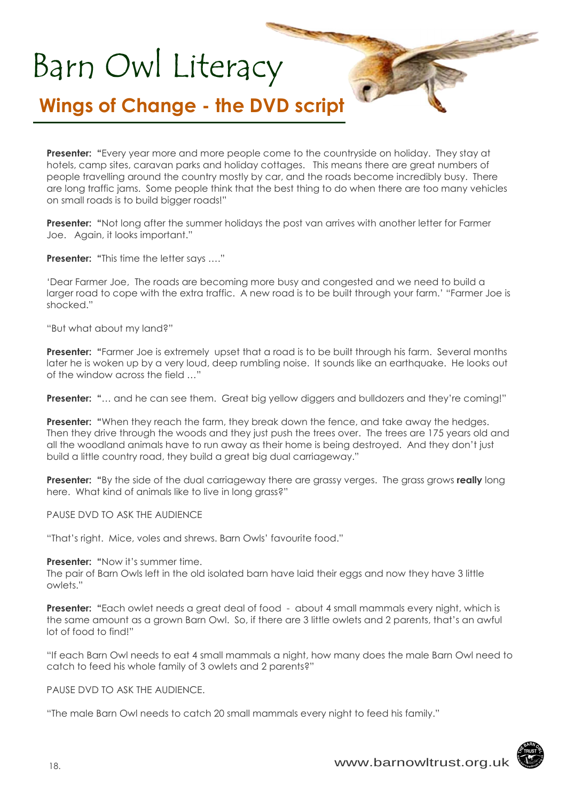#### **Wings of Change - the DVD script**

**Presenter:** "Every year more and more people come to the countryside on holiday. They stay at hotels, camp sites, caravan parks and holiday cottages. This means there are great numbers of people travelling around the country mostly by car, and the roads become incredibly busy. There are long traffic jams. Some people think that the best thing to do when there are too many vehicles on small roads is to build bigger roads!"

 $\bullet$ 

**Presenter:** "Not long after the summer holidays the post van arrives with another letter for Farmer Joe. Again, it looks important."

**Presenter: "This time the letter says ...."** 

'Dear Farmer Joe, The roads are becoming more busy and congested and we need to build a larger road to cope with the extra traffic. A new road is to be built through your farm.' "Farmer Joe is shocked."

"But what about my land?"

**Presenter:** "Farmer Joe is extremely upset that a road is to be built through his farm. Several months later he is woken up by a very loud, deep rumbling noise. It sounds like an earthquake. He looks out of the window across the field …"

**Presenter: "...** and he can see them. Great big yellow diggers and bulldozers and they're coming!"

**Presenter:** "When they reach the farm, they break down the fence, and take away the hedges. Then they drive through the woods and they just push the trees over. The trees are 175 years old and all the woodland animals have to run away as their home is being destroyed. And they don't just build a little country road, they build a great big dual carriageway."

**Presenter: "**By the side of the dual carriageway there are grassy verges. The grass grows **really** long here. What kind of animals like to live in long grass?"

PAUSE DVD TO ASK THE AUDIENCE

"That's right. Mice, voles and shrews. Barn Owls' favourite food."

**Presenter: "Now it's summer time.** 

The pair of Barn Owls left in the old isolated barn have laid their eggs and now they have 3 little owlets."

**Presenter:** "Each owlet needs a great deal of food - about 4 small mammals every night, which is the same amount as a grown Barn Owl. So, if there are 3 little owlets and 2 parents, that's an awful lot of food to find!"

"If each Barn Owl needs to eat 4 small mammals a night, how many does the male Barn Owl need to catch to feed his whole family of 3 owlets and 2 parents?"

PAUSE DVD TO ASK THE AUDIENCE.

"The male Barn Owl needs to catch 20 small mammals every night to feed his family."



 $\rightarrow$